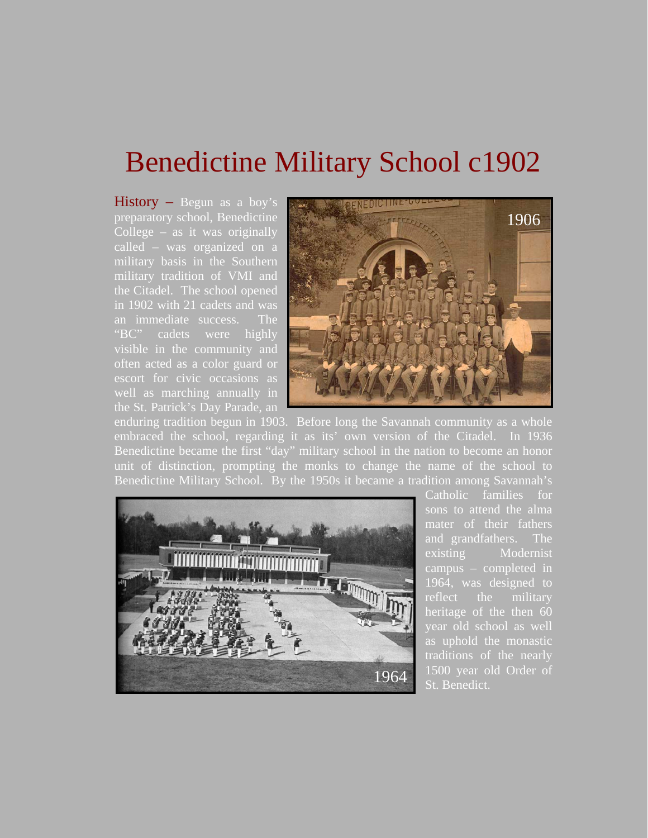## Benedictine Military School c1902

 $$ preparatory school, Benedictine College – as it was originally called – was organized on a military basis in the Southern military tradition of VMI and the Citadel. The school opened in 1902 with 21 cadets and was an immediate success. The "BC" cadets were highly visible in the community and often acted as a color guard or escort for civic occasions as well as marching annually in the St. Patrick's Day Parade, an



enduring tradition begun in 1903. Before long the Savannah community as a whole embraced the school, regarding it as its' own version of the Citadel. In 1936 Benedictine became the first "day" military school in the nation to become an honor unit of distinction, prompting the monks to change the name of the school to Benedictine Military School. By the 1950s it became a tradition among Savannah's



Catholic families for sons to attend the alma and grandfathers. The existing Modernist campus – completed in 1964, was designed to reflect the military heritage of the then 60 year old school as well as uphold the monastic traditions of the nearly 1500 year old Order of St. Benedict.